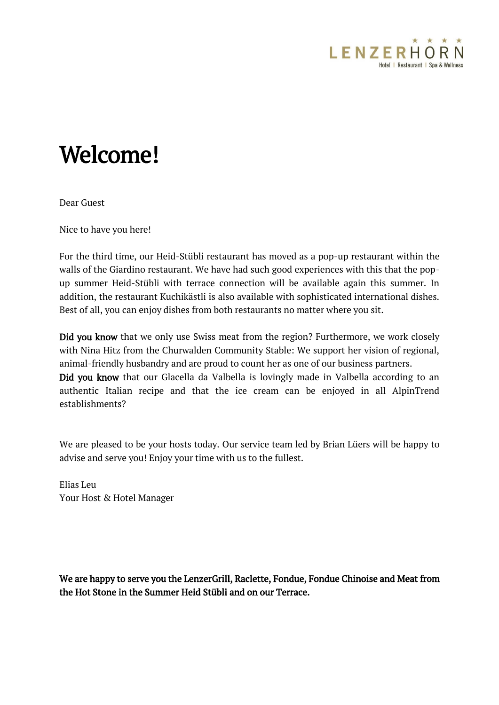

## Welcome!

Dear Guest

Nice to have you here!

For the third time, our Heid-Stübli restaurant has moved as a pop-up restaurant within the walls of the Giardino restaurant. We have had such good experiences with this that the popup summer Heid-Stübli with terrace connection will be available again this summer. In addition, the restaurant Kuchikästli is also available with sophisticated international dishes. Best of all, you can enjoy dishes from both restaurants no matter where you sit.

Did you know that we only use Swiss meat from the region? Furthermore, we work closely with Nina Hitz from the Churwalden Community Stable: We support her vision of regional, animal-friendly husbandry and are proud to count her as one of our business partners. Did you know that our Glacella da Valbella is lovingly made in Valbella according to an authentic Italian recipe and that the ice cream can be enjoyed in all AlpinTrend establishments?

We are pleased to be your hosts today. Our service team led by Brian Lüers will be happy to advise and serve you! Enjoy your time with us to the fullest.

Elias Leu Your Host & Hotel Manager

We are happy to serve you the LenzerGrill, Raclette, Fondue, Fondue Chinoise and Meat from the Hot Stone in the Summer Heid Stübli and on our Terrace.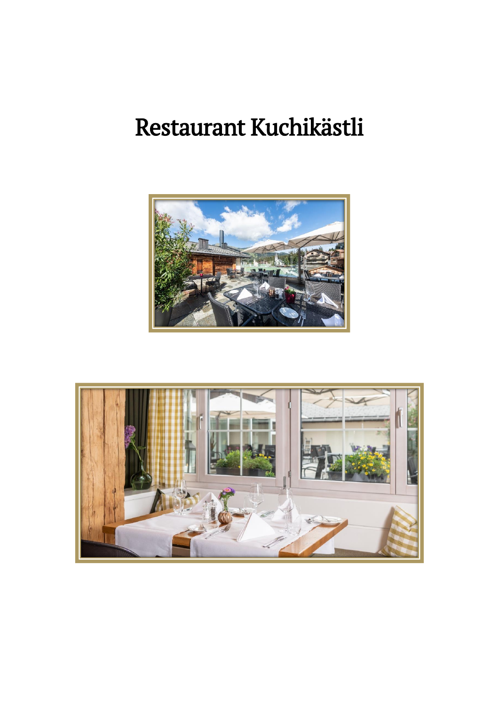# Restaurant Kuchikästli



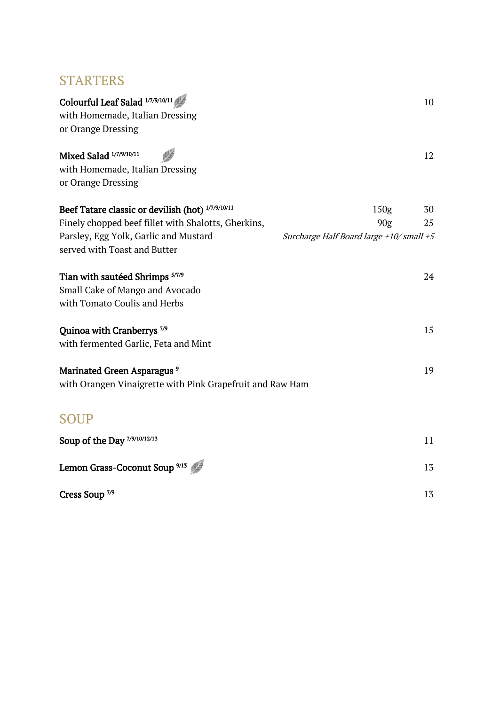## **STARTERS**

| Colourful Leaf Salad 1/7/9/10/11<br>with Homemade, Italian Dressing<br>or Orange Dressing |                                         | 10 |
|-------------------------------------------------------------------------------------------|-----------------------------------------|----|
| Mixed Salad 1/7/9/10/11<br>with Homemade, Italian Dressing<br>or Orange Dressing          |                                         | 12 |
| Beef Tatare classic or devilish (hot) 1/7/9/10/11                                         | 150 <sub>g</sub>                        | 30 |
| Finely chopped beef fillet with Shalotts, Gherkins,                                       | 90g                                     | 25 |
| Parsley, Egg Yolk, Garlic and Mustard<br>served with Toast and Butter                     | Surcharge Half Board large +10/small +5 |    |
| Tian with sautéed Shrimps 5/7/9                                                           |                                         | 24 |
| Small Cake of Mango and Avocado                                                           |                                         |    |
| with Tomato Coulis and Herbs                                                              |                                         |    |
| Quinoa with Cranberrys <sup>7/9</sup><br>with fermented Garlic, Feta and Mint             |                                         | 15 |
| Marinated Green Asparagus <sup>9</sup>                                                    |                                         | 19 |
| with Orangen Vinaigrette with Pink Grapefruit and Raw Ham                                 |                                         |    |
| <b>SOUP</b>                                                                               |                                         |    |
| Soup of the Day 7/9/10/12/13                                                              |                                         | 11 |
| Lemon Grass-Coconut Soup <sup>9/13</sup>                                                  |                                         | 13 |
| Cress Soup <sup>7/9</sup>                                                                 |                                         | 13 |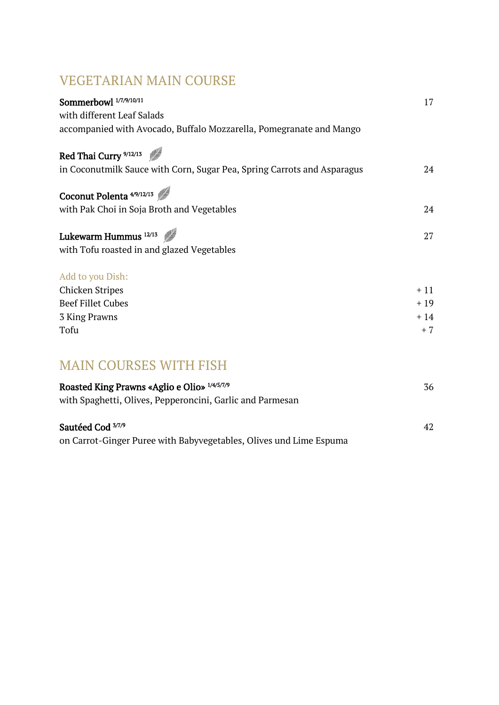## VEGETARIAN MAIN COURSE

| Sommerbowl 1/7/9/10/11                                                  | 17    |
|-------------------------------------------------------------------------|-------|
| with different Leaf Salads                                              |       |
| accompanied with Avocado, Buffalo Mozzarella, Pomegranate and Mango     |       |
| Red Thai Curry <sup>9/12/13</sup>                                       |       |
| in Coconutmilk Sauce with Corn, Sugar Pea, Spring Carrots and Asparagus | 24    |
| Coconut Polenta <sup>4/9/12/13</sup>                                    |       |
| with Pak Choi in Soja Broth and Vegetables                              | 24    |
| Lukewarm Hummus <sup>12/13</sup>                                        | 27    |
| with Tofu roasted in and glazed Vegetables                              |       |
| Add to you Dish:                                                        |       |
| <b>Chicken Stripes</b>                                                  | $+11$ |
| <b>Beef Fillet Cubes</b>                                                | $+19$ |
| 3 King Prawns                                                           | $+14$ |
| Tofu                                                                    | $+7$  |
|                                                                         |       |
| <b>MAIN COURSES WITH FISH</b>                                           |       |
| Roasted King Prawns «Aglio e Olio» 1/4/5/7/9                            | 36    |
| with Spaghetti, Olives, Pepperoncini, Garlic and Parmesan               |       |
| Sautéed Cod 3/7/9                                                       | 42    |

 $37/9$   $42$ 

on Carrot-Ginger Puree with Babyvegetables, Olives und Lime Espuma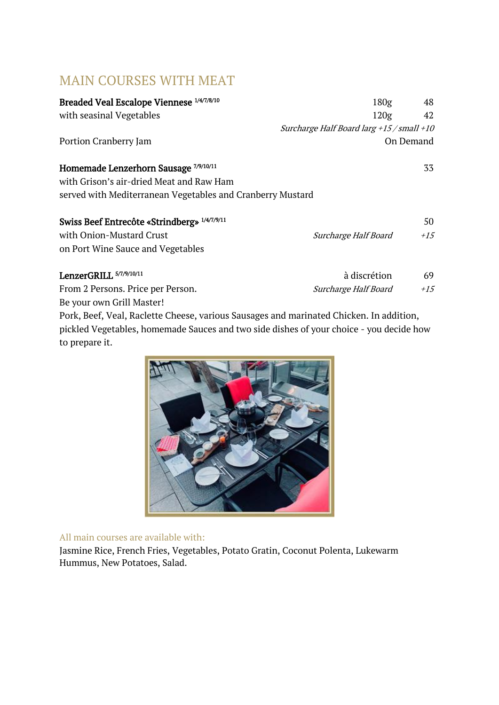## MAIN COURSES WITH MEAT

| Breaded Veal Escalope Viennese 1/4/7/8/10                  | 180 <sub>g</sub>                          | 48        |
|------------------------------------------------------------|-------------------------------------------|-----------|
| with seasinal Vegetables                                   | 120 <sub>g</sub>                          | 42        |
|                                                            | Surcharge Half Board larg +15 / small +10 |           |
| Portion Cranberry Jam                                      |                                           | On Demand |
| Homemade Lenzerhorn Sausage 7/9/10/11                      |                                           | 33        |
| with Grison's air-dried Meat and Raw Ham                   |                                           |           |
| served with Mediterranean Vegetables and Cranberry Mustard |                                           |           |
| Swiss Beef Entrecôte «Strindberg» 1/4/7/9/11               |                                           | 50        |
| with Onion-Mustard Crust                                   | Surcharge Half Board                      | $+1.5$    |
| on Port Wine Sauce and Vegetables                          |                                           |           |
| LenzerGRILL 5/7/9/10/11                                    | à discrétion                              | 69        |
| From 2 Persons. Price per Person.                          | Surcharge Half Board                      | $+1.5$    |
| Be your own Grill Master!                                  |                                           |           |

Pork, Beef, Veal, Raclette Cheese, various Sausages and marinated Chicken. In addition, pickled Vegetables, homemade Sauces and two side dishes of your choice - you decide how to prepare it.



#### All main courses are available with:

Jasmine Rice, French Fries, Vegetables, Potato Gratin, Coconut Polenta, Lukewarm Hummus, New Potatoes, Salad.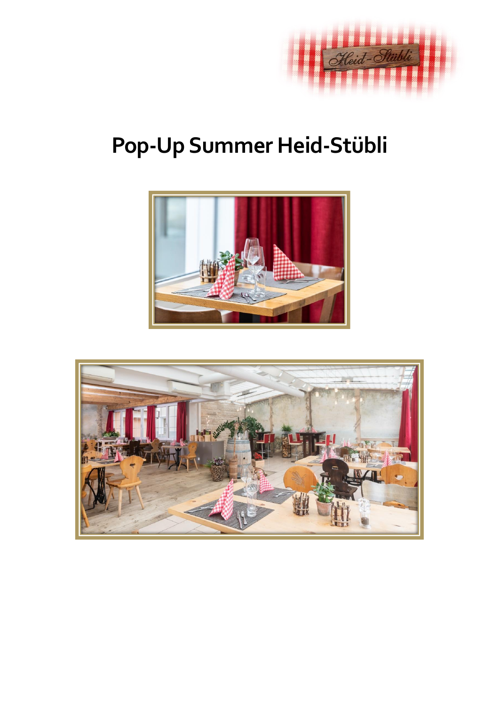

# **Pop-Up Summer Heid-Stübli**



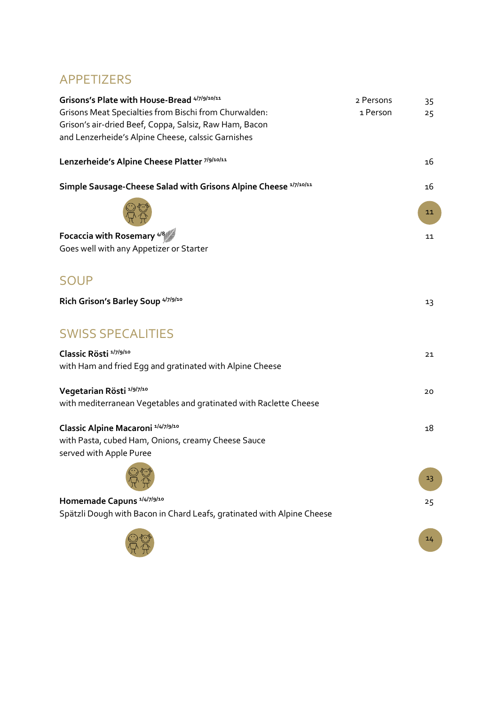## APPETIZERS

| Grisons's Plate with House-Bread 4/7/9/10/11                           | 2 Persons | 35 |
|------------------------------------------------------------------------|-----------|----|
| Grisons Meat Specialties from Bischi from Churwalden:                  | 1 Person  | 25 |
| Grison's air-dried Beef, Coppa, Salsiz, Raw Ham, Bacon                 |           |    |
| and Lenzerheide's Alpine Cheese, calssic Garnishes                     |           |    |
| Lenzerheide's Alpine Cheese Platter 7/9/10/11                          |           | 16 |
| Simple Sausage-Cheese Salad with Grisons Alpine Cheese 1/7/10/11       |           | 16 |
|                                                                        |           | 11 |
| Focaccia with Rosemary 4/8                                             |           | 11 |
| Goes well with any Appetizer or Starter                                |           |    |
| <b>SOUP</b>                                                            |           |    |
| Rich Grison's Barley Soup 4/7/9/10                                     |           | 13 |
| <b>SWISS SPECALITIES</b>                                               |           |    |
| Classic Rösti <sup>1/7/9/10</sup>                                      |           | 21 |
| with Ham and fried Egg and gratinated with Alpine Cheese               |           |    |
| Vegetarian Rösti 1/9/7/10                                              |           | 20 |
| with mediterranean Vegetables and gratinated with Raclette Cheese      |           |    |
| Classic Alpine Macaroni 1/4/7/9/10                                     |           | 18 |
| with Pasta, cubed Ham, Onions, creamy Cheese Sauce                     |           |    |
| served with Apple Puree                                                |           |    |
| $\bigodot$                                                             |           | 13 |
| Homemade Capuns <sup>1/4/7/9/10</sup>                                  |           | 25 |
| Spätzli Dough with Bacon in Chard Leafs, gratinated with Alpine Cheese |           |    |
|                                                                        |           | 14 |

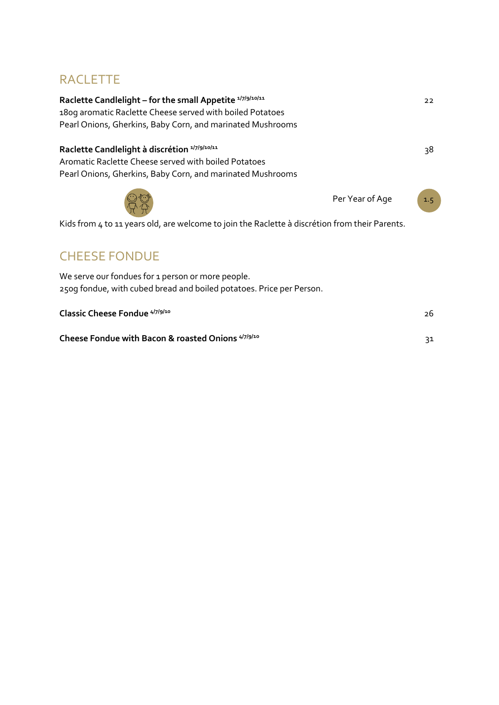## RACLETTE

| Raclette Candlelight - for the small Appetite 1/7/9/10/11                                                                 | 22                     |
|---------------------------------------------------------------------------------------------------------------------------|------------------------|
| 180g aromatic Raclette Cheese served with boiled Potatoes                                                                 |                        |
| Pearl Onions, Gherkins, Baby Corn, and marinated Mushrooms                                                                |                        |
| Raclette Candlelight à discrétion <sup>1/7/9/10/11</sup>                                                                  | 38                     |
| Aromatic Raclette Cheese served with boiled Potatoes                                                                      |                        |
| Pearl Onions, Gherkins, Baby Corn, and marinated Mushrooms                                                                |                        |
|                                                                                                                           | Per Year of Age<br>1.5 |
| Kids from 4 to 11 years old, are welcome to join the Raclette à discrétion from their Parents.                            |                        |
| <b>CHEESE FONDUE</b>                                                                                                      |                        |
| We serve our fondues for 1 person or more people.<br>250g fondue, with cubed bread and boiled potatoes. Price per Person. |                        |
| Classic Cheese Fondue 4/7/9/10                                                                                            | 26                     |
| Cheese Fondue with Bacon & roasted Onions <sup>4/7/9/10</sup>                                                             | 31                     |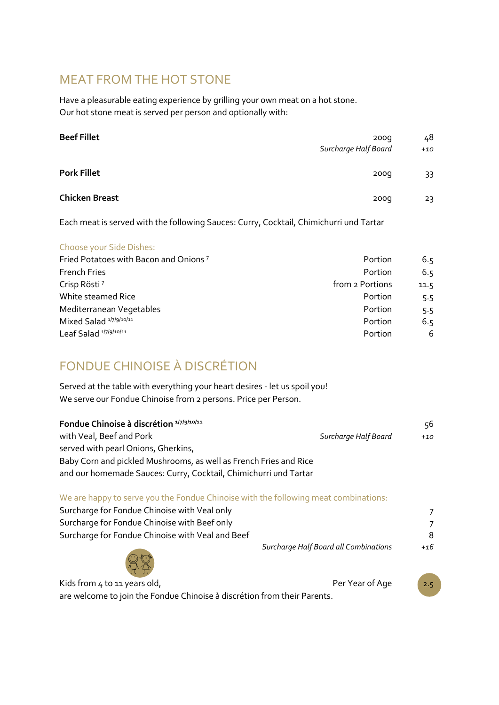## MEAT FROM THE HOT STONE

Have a pleasurable eating experience by grilling your own meat on a hot stone. Our hot stone meat is served per person and optionally with:

| <b>Beef Fillet</b>    | 200 <sub>g</sub><br>Surcharge Half Board | 48<br>$+10$ |
|-----------------------|------------------------------------------|-------------|
| <b>Pork Fillet</b>    | 200q                                     | 33          |
| <b>Chicken Breast</b> | 200q                                     | 23          |

Each meat is served with the following Sauces: Curry, Cocktail, Chimichurri und Tartar

#### Choose your Side Dishes:

| Fried Potatoes with Bacon and Onions <sup>7</sup><br>Portion | 6.5  |
|--------------------------------------------------------------|------|
| <b>French Fries</b><br>Portion                               | 6.5  |
| Crisp Rösti <sup>7</sup><br>from 2 Portions                  | 11.5 |
| White steamed Rice<br>Portion                                | 5.5  |
| Mediterranean Vegetables<br>Portion                          | 5.5  |
| Mixed Salad <sup>1/7/9/10/11</sup><br>Portion                | 6.5  |
| Leaf Salad 1/7/9/10/11<br>Portion                            | 6    |

## FONDUE CHINOISE À DISCRÉTION

Served at the table with everything your heart desires - let us spoil you! We serve our Fondue Chinoise from 2 persons. Price per Person.

| Fondue Chinoise à discrétion <sup>1/7/9/10/11</sup>                                 |                      | 56    |
|-------------------------------------------------------------------------------------|----------------------|-------|
| with Veal, Beef and Pork                                                            | Surcharge Half Board | $+10$ |
| served with pearl Onions, Gherkins,                                                 |                      |       |
| Baby Corn and pickled Mushrooms, as well as French Fries and Rice                   |                      |       |
| and our homemade Sauces: Curry, Cocktail, Chimichurri und Tartar                    |                      |       |
| We are happy to serve you the Fondue Chinoise with the following meat combinations: |                      |       |
| Curcharge for Eandus Chinoice with Voal only                                        |                      |       |

| Surcharge for Fondue Chinoise with yeal only     |                                       |       |
|--------------------------------------------------|---------------------------------------|-------|
| Surcharge for Fondue Chinoise with Beef only     |                                       |       |
| Surcharge for Fondue Chinoise with Veal and Beef |                                       | 8     |
|                                                  | Surcharge Half Board all Combinations | $+16$ |
|                                                  |                                       |       |

Kids from 4 to 11 years old,  $P$  extends the Per Year of Age  $\overline{2.5}$ are welcome to join the Fondue Chinoise à discrétion from their Parents.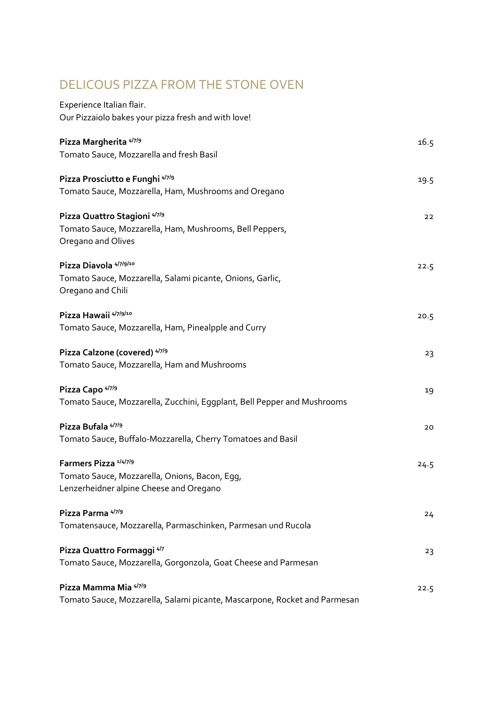## DELICOUS PIZZA FROM THE STONE OVEN

| Experience Italian flair.                                                      |      |
|--------------------------------------------------------------------------------|------|
| Our Pizzaiolo bakes your pizza fresh and with love!                            |      |
| Pizza Margherita 4/7/9                                                         | 16.5 |
| Tomato Sauce, Mozzarella and fresh Basil                                       |      |
| Pizza Prosciutto e Funghi 4/7/9                                                | 19.5 |
| Tomato Sauce, Mozzarella, Ham, Mushrooms and Oregano                           |      |
| Pizza Quattro Stagioni 4/7/9                                                   | 22   |
| Tomato Sauce, Mozzarella, Ham, Mushrooms, Bell Peppers,<br>Oregano and Olives  |      |
| Pizza Diavola 4/7/9/10                                                         | 22.5 |
| Tomato Sauce, Mozzarella, Salami picante, Onions, Garlic,<br>Oregano and Chili |      |
| Pizza Hawaii 4/7/9/10                                                          | 20.5 |
| Tomato Sauce, Mozzarella, Ham, Pinealpple and Curry                            |      |
| Pizza Calzone (covered) 4/7/9                                                  | 23   |
| Tomato Sauce, Mozzarella, Ham and Mushrooms                                    |      |
| Pizza Capo <sup>4/7/9</sup>                                                    | 19   |
| Tomato Sauce, Mozzarella, Zucchini, Eggplant, Bell Pepper and Mushrooms        |      |
| Pizza Bufala 4/7/9                                                             | 20   |
| Tomato Sauce, Buffalo-Mozzarella, Cherry Tomatoes and Basil                    |      |
| Farmers Pizza <sup>1/4/7/9</sup>                                               | 24.5 |
| Tomato Sauce, Mozzarella, Onions, Bacon, Egg,                                  |      |
| Lenzerheidner alpine Cheese and Oregano                                        |      |
| Pizza Parma 4/7/9                                                              | 24   |
| Tomatensauce, Mozzarella, Parmaschinken, Parmesan und Rucola                   |      |
| Pizza Quattro Formaggi 4/7                                                     | 23   |
| Tomato Sauce, Mozzarella, Gorgonzola, Goat Cheese and Parmesan                 |      |
| Pizza Mamma Mia 4/7/9                                                          | 22.5 |
| Tomato Sauce, Mozzarella, Salami picante, Mascarpone, Rocket and Parmesan      |      |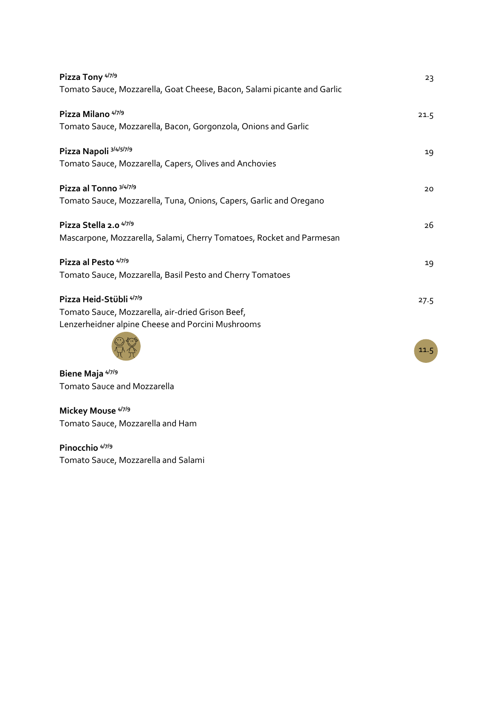| Pizza Tony 4/7/9                                                        | 23   |
|-------------------------------------------------------------------------|------|
| Tomato Sauce, Mozzarella, Goat Cheese, Bacon, Salami picante and Garlic |      |
| Pizza Milano <sup>4/7/9</sup>                                           | 21.5 |
| Tomato Sauce, Mozzarella, Bacon, Gorgonzola, Onions and Garlic          |      |
| Pizza Napoli 3/4/5/7/9                                                  | 19   |
| Tomato Sauce, Mozzarella, Capers, Olives and Anchovies                  |      |
| Pizza al Tonno 3/4/7/9                                                  | 20   |
| Tomato Sauce, Mozzarella, Tuna, Onions, Capers, Garlic and Oregano      |      |
| Pizza Stella 2.0 4/7/9                                                  | 26   |
| Mascarpone, Mozzarella, Salami, Cherry Tomatoes, Rocket and Parmesan    |      |
| Pizza al Pesto 4/7/9                                                    | 19   |
| Tomato Sauce, Mozzarella, Basil Pesto and Cherry Tomatoes               |      |
| Pizza Heid-Stübli 4/7/9                                                 | 27.5 |
| Tomato Sauce, Mozzarella, air-dried Grison Beef,                        |      |
| Lenzerheidner alpine Cheese and Porcini Mushrooms                       |      |
|                                                                         | 11.5 |

**Biene Maja 4/7/9** Tomato Sauce and Mozzarella

**Mickey Mouse 4/7/9** Tomato Sauce, Mozzarella and Ham

**Pinocchio 4/7/9** Tomato Sauce, Mozzarella and Salami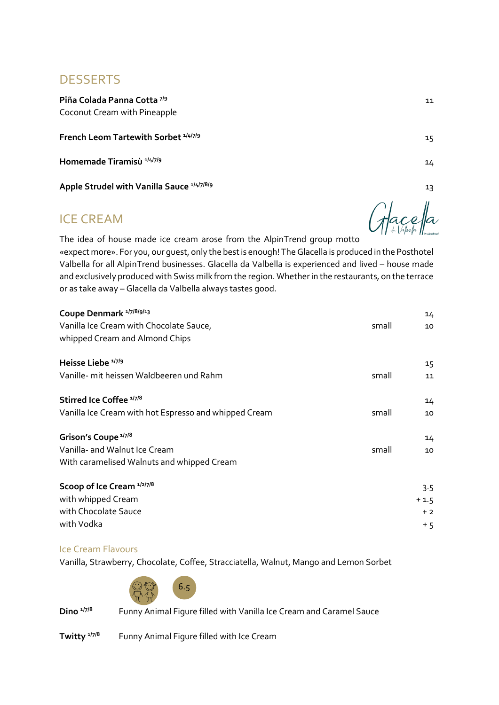### **DESSERTS**

**Piña Colada Panna Cotta 7/9** 11 Coconut Cream with Pineapple

**French Leom Tartewith Sorbet**  $1/4/7/9$  15

**Homemade Tiramisù** <sup>1/4/7/9</sup> 14

Apple Strudel with Vanilla Sauce <sup>1/4/7/8/9</sup> 13

### ICE CREAM

The idea of house made ice cream arose from the AlpinTrend group motto «expect more». For you, our guest, only the best is enough! The Glacella is produced in the Posthotel Valbella for all AlpinTrend businesses. Glacella da Valbella is experienced and lived – house made and exclusively produced with Swiss milk from the region. Whether in the restaurants, on the terrace or as take away – Glacella da Valbella always tastes good.

| Coupe Denmark 1/7/8/9/13<br>Vanilla Ice Cream with Chocolate Sauce,<br>whipped Cream and Almond Chips          | small | 14<br>10 |
|----------------------------------------------------------------------------------------------------------------|-------|----------|
| Heisse Liebe <sup>1/7/9</sup><br>Vanille- mit heissen Waldbeeren und Rahm                                      | small | 15<br>11 |
| Stirred Ice Coffee 1/7/8<br>Vanilla Ice Cream with hot Espresso and whipped Cream                              | small | 14<br>10 |
| Grison's Coupe <sup>1/7/8</sup><br>Vanilla- and Walnut Ice Cream<br>With caramelised Walnuts and whipped Cream | small | 14<br>10 |
| Scoop of Ice Cream 1/2/7/8                                                                                     |       | 3.5      |

| with whipped Cream   | $+1.5$ |
|----------------------|--------|
| with Chocolate Sauce | $+2$   |
| with Vodka           | + 5    |
|                      |        |

#### Ice Cream Flavours

Vanilla, Strawberry, Chocolate, Coffee, Stracciatella, Walnut, Mango and Lemon Sorbet



**Dino 1/7/8** Funny Animal Figure filled with Vanilla Ice Cream and Caramel Sauce

**Twitty** <sup>1/7/8</sup> Funny Animal Figure filled with Ice Cream